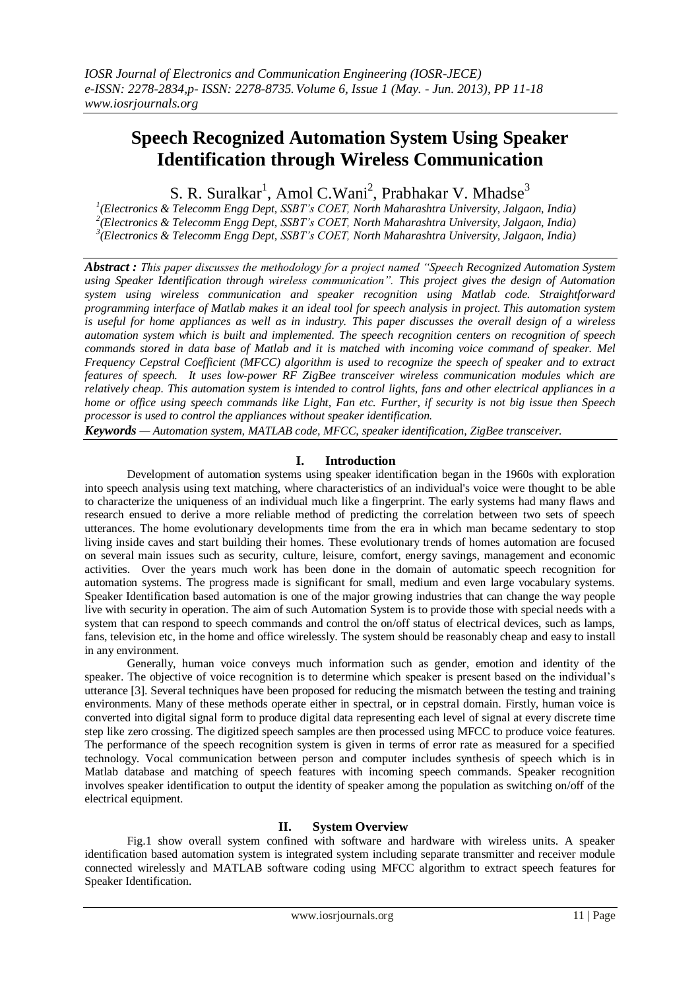# **Speech Recognized Automation System Using Speaker Identification through Wireless Communication**

S. R. Suralkar<sup>1</sup>, Amol C.Wani<sup>2</sup>, Prabhakar V. Mhadse<sup>3</sup>

 *1 (Electronics & Telecomm Engg Dept, SSBT's COET, North Maharashtra University, Jalgaon, India) 2 (Electronics & Telecomm Engg Dept, SSBT's COET, North Maharashtra University, Jalgaon, India) 3 (Electronics & Telecomm Engg Dept, SSBT's COET, North Maharashtra University, Jalgaon, India)*

*Abstract : This paper discusses the methodology for a project named "Speech Recognized Automation System using Speaker Identification through wireless communication". This project gives the design of Automation system using wireless communication and speaker recognition using Matlab code. Straightforward programming interface of Matlab makes it an ideal tool for speech analysis in project. This automation system is useful for home appliances as well as in industry. This paper discusses the overall design of a wireless automation system which is built and implemented. The speech recognition centers on recognition of speech commands stored in data base of Matlab and it is matched with incoming voice command of speaker. Mel Frequency Cepstral Coefficient (MFCC) algorithm is used to recognize the speech of speaker and to extract features of speech. It uses low-power RF ZigBee transceiver wireless communication modules which are relatively cheap. This automation system is intended to control lights, fans and other electrical appliances in a home or office using speech commands like Light, Fan etc. Further, if security is not big issue then Speech processor is used to control the appliances without speaker identification.*

*Keywords — Automation system, MATLAB code, MFCC, speaker identification, ZigBee transceiver.*

## **I. Introduction**

Development of automation systems using speaker identification began in the 1960s with exploration into speech analysis using text matching, where characteristics of an individual's voice were thought to be able to characterize the uniqueness of an individual much like a fingerprint. The early systems had many flaws and research ensued to derive a more reliable method of predicting the correlation between two sets of speech utterances. The home evolutionary developments time from the era in which man became sedentary to stop living inside caves and start building their homes. These evolutionary trends of homes automation are focused on several main issues such as security, culture, leisure, comfort, energy savings, management and economic activities. Over the years much work has been done in the domain of automatic speech recognition for automation systems. The progress made is significant for small, medium and even large vocabulary systems. Speaker Identification based automation is one of the major growing industries that can change the way people live with security in operation. The aim of such Automation System is to provide those with special needs with a system that can respond to speech commands and control the on/off status of electrical devices, such as lamps, fans, television etc, in the home and office wirelessly. The system should be reasonably cheap and easy to install in any environment.

Generally, human voice conveys much information such as gender, emotion and identity of the speaker. The objective of voice recognition is to determine which speaker is present based on the individual"s utterance [3]. Several techniques have been proposed for reducing the mismatch between the testing and training environments. Many of these methods operate either in spectral, or in cepstral domain. Firstly, human voice is converted into digital signal form to produce digital data representing each level of signal at every discrete time step like zero crossing. The digitized speech samples are then processed using MFCC to produce voice features. The performance of the speech recognition system is given in terms of error rate as measured for a specified technology. Vocal communication between person and computer includes synthesis of speech which is in Matlab database and matching of speech features with incoming speech commands. Speaker recognition involves speaker identification to output the identity of speaker among the population as switching on/off of the electrical equipment.

#### **II. System Overview**

Fig.1 show overall system confined with software and hardware with wireless units. A speaker identification based automation system is integrated system including separate transmitter and receiver module connected wirelessly and MATLAB software coding using MFCC algorithm to extract speech features for Speaker Identification.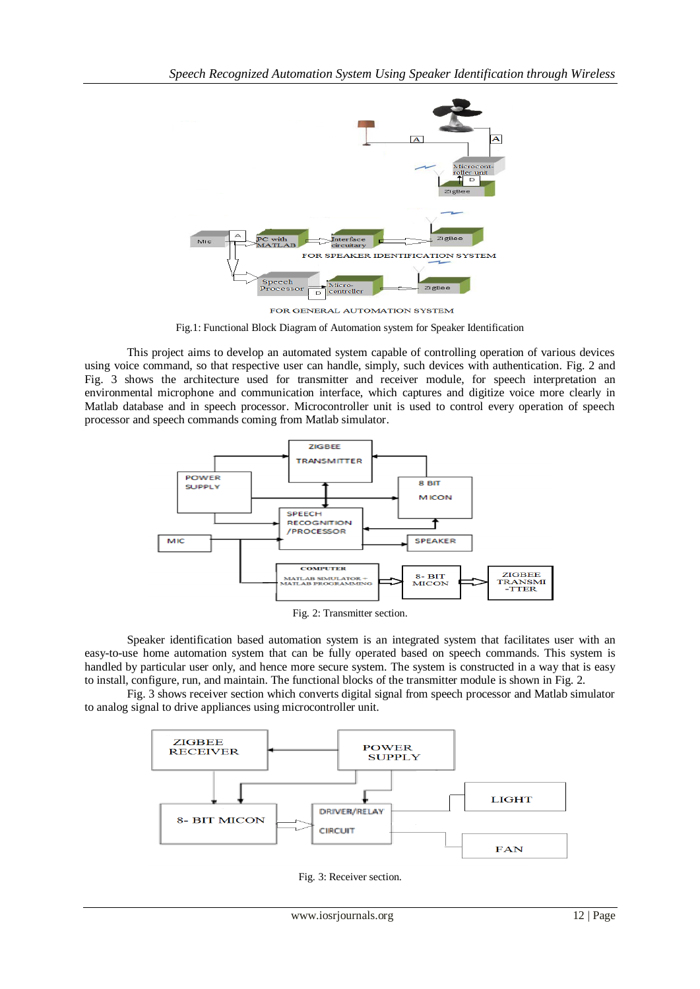

FOR GENERAL AUTOMATION SYSTEM

Fig.1: Functional Block Diagram of Automation system for Speaker Identification

This project aims to develop an automated system capable of controlling operation of various devices using voice command, so that respective user can handle, simply, such devices with authentication. Fig. 2 and Fig. 3 shows the architecture used for transmitter and receiver module, for speech interpretation an environmental microphone and communication interface, which captures and digitize voice more clearly in Matlab database and in speech processor. Microcontroller unit is used to control every operation of speech processor and speech commands coming from Matlab simulator.



Fig. 2: Transmitter section.

Speaker identification based automation system is an integrated system that facilitates user with an easy-to-use home automation system that can be fully operated based on speech commands. This system is handled by particular user only, and hence more secure system. The system is constructed in a way that is easy to install, configure, run, and maintain. The functional blocks of the transmitter module is shown in Fig. 2.

Fig. 3 shows receiver section which converts digital signal from speech processor and Matlab simulator to analog signal to drive appliances using microcontroller unit.



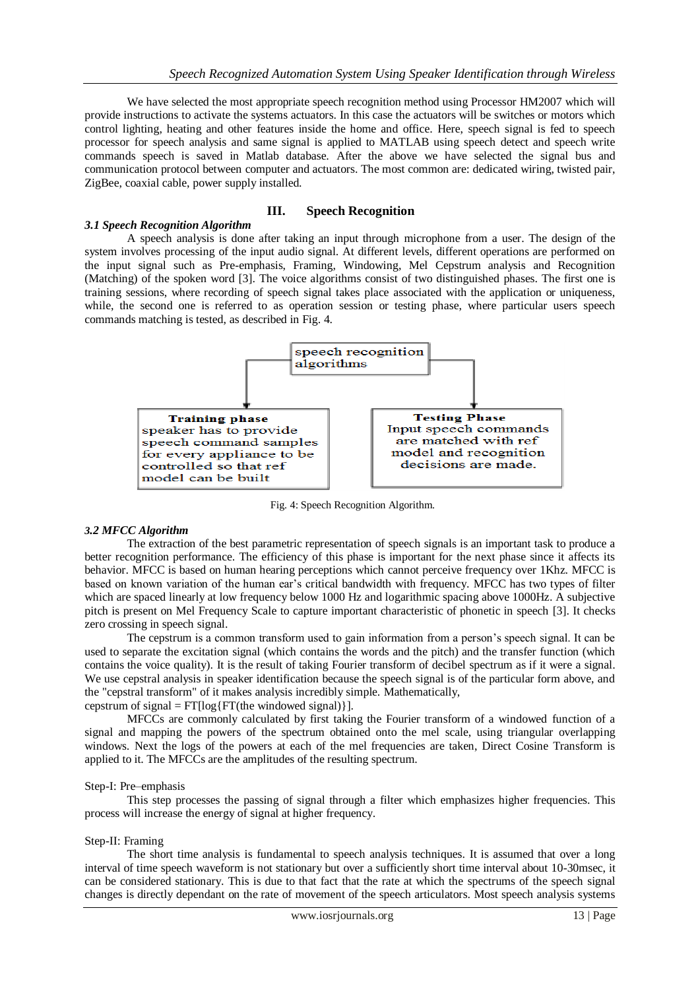We have selected the most appropriate speech recognition method using Processor HM2007 which will provide instructions to activate the systems actuators. In this case the actuators will be switches or motors which control lighting, heating and other features inside the home and office. Here, speech signal is fed to speech processor for speech analysis and same signal is applied to MATLAB using speech detect and speech write commands speech is saved in Matlab database. After the above we have selected the signal bus and communication protocol between computer and actuators. The most common are: dedicated wiring, twisted pair, ZigBee, coaxial cable, power supply installed.

## **III. Speech Recognition**

*3.1 Speech Recognition Algorithm* A speech analysis is done after taking an input through microphone from a user. The design of the system involves processing of the input audio signal. At different levels, different operations are performed on the input signal such as Pre-emphasis, Framing, Windowing, Mel Cepstrum analysis and Recognition (Matching) of the spoken word [3]. The voice algorithms consist of two distinguished phases. The first one is training sessions, where recording of speech signal takes place associated with the application or uniqueness, while, the second one is referred to as operation session or testing phase, where particular users speech commands matching is tested, as described in Fig. 4.



Fig. 4: Speech Recognition Algorithm.

## *3.2 MFCC Algorithm*

The extraction of the best parametric representation of speech signals is an important task to produce a better recognition performance. The efficiency of this phase is important for the next phase since it affects its behavior. MFCC is based on human hearing perceptions which cannot perceive frequency over 1Khz. MFCC is based on known variation of the human ear"s critical bandwidth with frequency. MFCC has two types of filter which are spaced linearly at low frequency below 1000 Hz and logarithmic spacing above 1000Hz. A subjective pitch is present on Mel Frequency Scale to capture important characteristic of phonetic in speech [3]. It checks zero crossing in speech signal.

The cepstrum is a common transform used to gain information from a person"s speech signal. It can be used to separate the excitation signal (which contains the words and the pitch) and the transfer function (which contains the voice quality). It is the result of taking Fourier transform of decibel spectrum as if it were a signal. We use cepstral analysis in speaker identification because the speech signal is of the particular form above, and the "cepstral transform" of it makes analysis incredibly simple. Mathematically, cepstrum of signal =  $FT[log\{FT$ (the windowed signal)}].

MFCCs are commonly calculated by first taking the Fourier transform of a windowed function of a signal and mapping the powers of the spectrum obtained onto the mel scale, using triangular overlapping windows. Next the logs of the powers at each of the mel frequencies are taken, Direct Cosine Transform is applied to it. The MFCCs are the amplitudes of the resulting spectrum.

#### Step-I: Pre–emphasis

This step processes the passing of signal through a filter which emphasizes higher frequencies. This process will increase the energy of signal at higher frequency.

### Step-II: Framing

The short time analysis is fundamental to speech analysis techniques. It is assumed that over a long interval of time speech waveform is not stationary but over a sufficiently short time interval about 10-30msec, it can be considered stationary. This is due to that fact that the rate at which the spectrums of the speech signal changes is directly dependant on the rate of movement of the speech articulators. Most speech analysis systems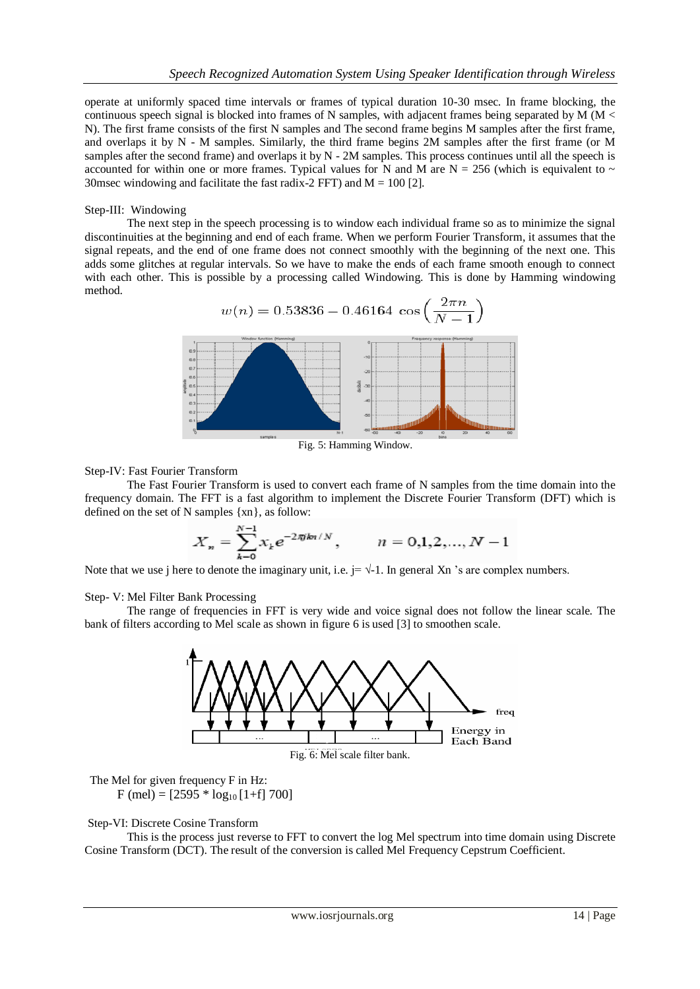operate at uniformly spaced time intervals or frames of typical duration 10-30 msec. In frame blocking, the continuous speech signal is blocked into frames of N samples, with adjacent frames being separated by M ( $M <$ N). The first frame consists of the first N samples and The second frame begins M samples after the first frame, and overlaps it by N - M samples. Similarly, the third frame begins 2M samples after the first frame (or M samples after the second frame) and overlaps it by  $N - 2M$  samples. This process continues until all the speech is accounted for within one or more frames. Typical values for N and M are  $N = 256$  (which is equivalent to  $\sim$ 30msec windowing and facilitate the fast radix-2 FFT) and  $M = 100$  [2].

#### Step-III: Windowing

The next step in the speech processing is to window each individual frame so as to minimize the signal discontinuities at the beginning and end of each frame. When we perform Fourier Transform, it assumes that the signal repeats, and the end of one frame does not connect smoothly with the beginning of the next one. This adds some glitches at regular intervals. So we have to make the ends of each frame smooth enough to connect with each other. This is possible by a processing called Windowing. This is done by Hamming windowing method.



Fig. 5: Hamming Window.

#### Step-IV: Fast Fourier Transform

The Fast Fourier Transform is used to convert each frame of N samples from the time domain into the frequency domain. The FFT is a fast algorithm to implement the Discrete Fourier Transform (DFT) which is defined on the set of N samples {xn}, as follow:

$$
X_n = \sum_{k=0}^{N-1} x_k e^{-2\pi jkn/N}, \qquad n = 0,1,2,...,N-1
$$

Note that we use j here to denote the imaginary unit, i.e.  $j = \sqrt{-1}$ . In general Xn 's are complex numbers.

Step- V: Mel Filter Bank Processing

The range of frequencies in FFT is very wide and voice signal does not follow the linear scale. The bank of filters according to Mel scale as shown in figure 6 is used [3] to smoothen scale.



 The Mel for given frequency F in Hz:  $F$  (mel) = [2595  $*$  log<sub>10</sub> [1+f] 700]

#### Step-VI: Discrete Cosine Transform

This is the process just reverse to FFT to convert the log Mel spectrum into time domain using Discrete Cosine Transform (DCT). The result of the conversion is called Mel Frequency Cepstrum Coefficient.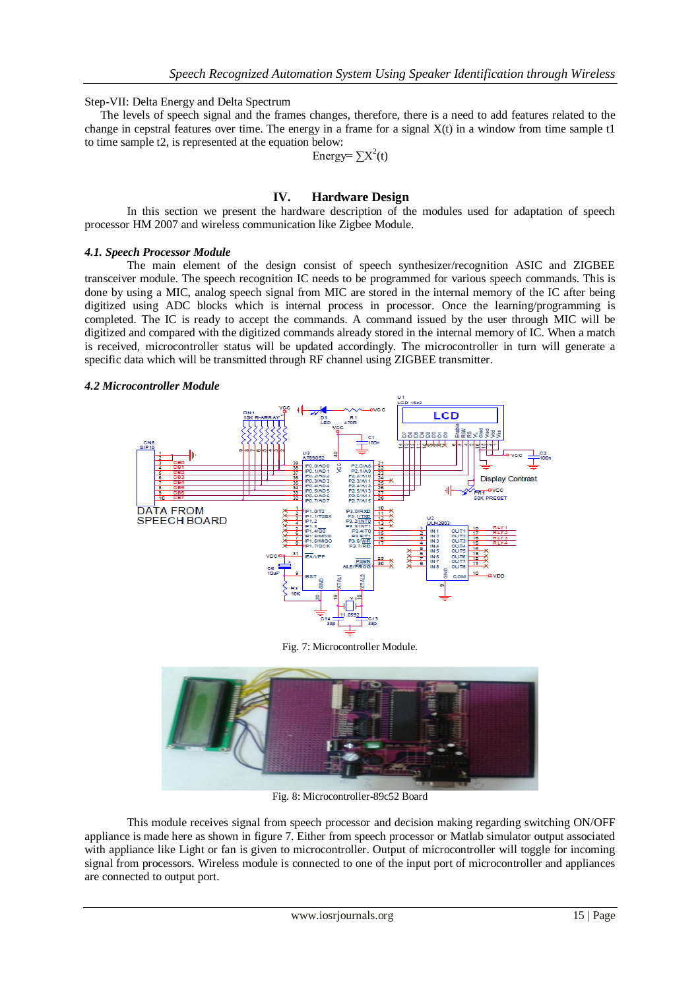Step-VII: Delta Energy and Delta Spectrum

The levels of speech signal and the frames changes, therefore, there is a need to add features related to the change in cepstral features over time. The energy in a frame for a signal  $X(t)$  in a window from time sample t1 to time sample t2, is represented at the equation below:

Energy= $\sum X^2(t)$ 

## **IV. Hardware Design**

In this section we present the hardware description of the modules used for adaptation of speech processor HM 2007 and wireless communication like Zigbee Module.

#### *4.1. Speech Processor Module*

The main element of the design consist of speech synthesizer/recognition ASIC and ZIGBEE transceiver module. The speech recognition IC needs to be programmed for various speech commands. This is done by using a MIC, analog speech signal from MIC are stored in the internal memory of the IC after being digitized using ADC blocks which is internal process in processor. Once the learning/programming is completed. The IC is ready to accept the commands. A command issued by the user through MIC will be digitized and compared with the digitized commands already stored in the internal memory of IC. When a match is received, microcontroller status will be updated accordingly. The microcontroller in turn will generate a specific data which will be transmitted through RF channel using ZIGBEE transmitter.

### *4.2 Microcontroller Module*



Fig. 7: Microcontroller Module.



Fig. 8: Microcontroller-89c52 Board

This module receives signal from speech processor and decision making regarding switching ON/OFF appliance is made here as shown in figure 7. Either from speech processor or Matlab simulator output associated with appliance like Light or fan is given to microcontroller. Output of microcontroller will toggle for incoming signal from processors. Wireless module is connected to one of the input port of microcontroller and appliances are connected to output port.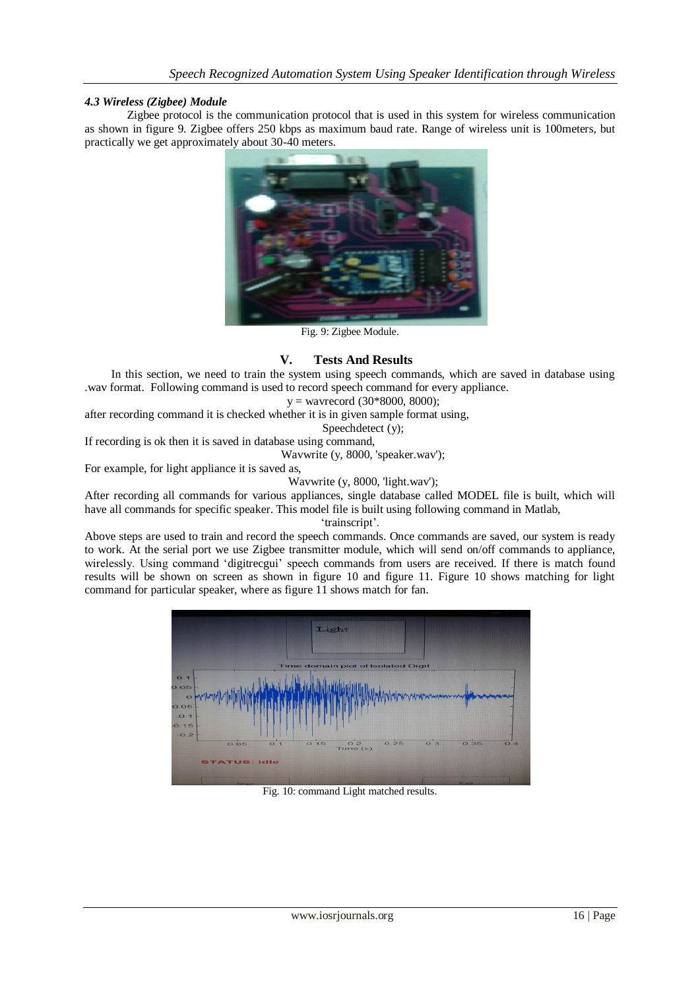## *4.3 Wireless (Zigbee) Module*

Zigbee protocol is the communication protocol that is used in this system for wireless communication as shown in figure 9. Zigbee offers 250 kbps as maximum baud rate. Range of wireless unit is 100meters, but practically we get approximately about 30-40 meters.



Fig. 9: Zigbee Module.

## **V. Tests And Results**

In this section, we need to train the system using speech commands, which are saved in database using .wav format. Following command is used to record speech command for every appliance.

 $y =$  wavrecord (30\*8000, 8000);

after recording command it is checked whether it is in given sample format using,

Speechdetect (y);

If recording is ok then it is saved in database using command,

Wavwrite (y, 8000, 'speaker.wav');

For example, for light appliance it is saved as,

Wavwrite (y, 8000, 'light.wav');

After recording all commands for various appliances, single database called MODEL file is built, which will have all commands for specific speaker. This model file is built using following command in Matlab,

'trainscript'.

Above steps are used to train and record the speech commands. Once commands are saved, our system is ready to work. At the serial port we use Zigbee transmitter module, which will send on/off commands to appliance, wirelessly. Using command 'digitrecgui' speech commands from users are received. If there is match found results will be shown on screen as shown in figure 10 and figure 11. Figure 10 shows matching for light command for particular speaker, where as figure 11 shows match for fan.



Fig. 10: command Light matched results.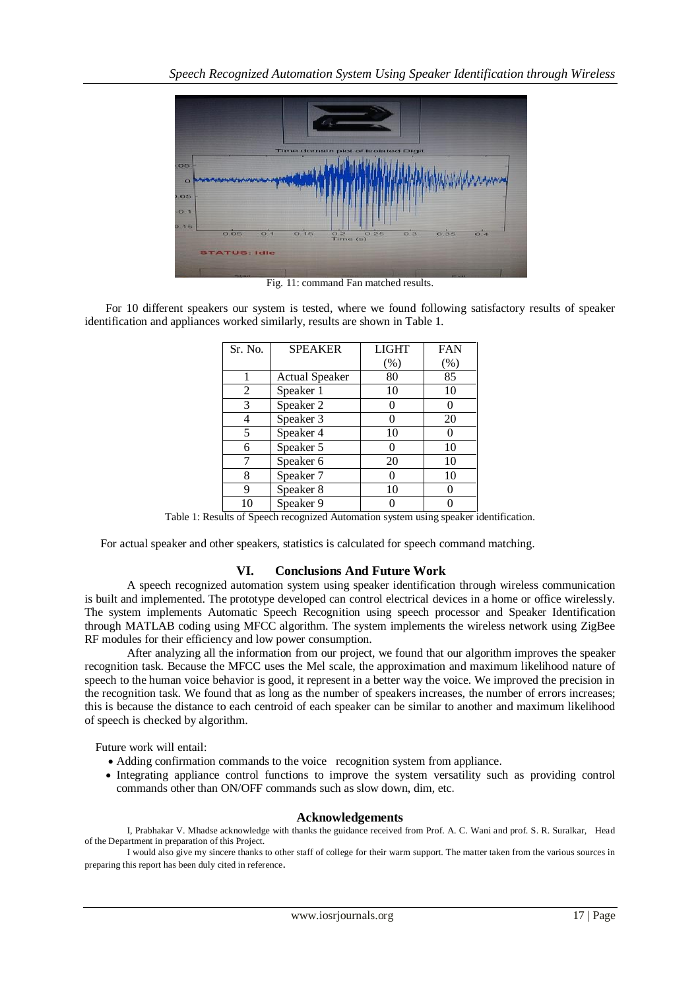

Fig. 11: command Fan matched results.

 For 10 different speakers our system is tested, where we found following satisfactory results of speaker identification and appliances worked similarly, results are shown in Table 1.

| Sr. No. | <b>SPEAKER</b>        | <b>LIGHT</b> | <b>FAN</b> |
|---------|-----------------------|--------------|------------|
|         |                       | (%)          | (%)        |
|         | <b>Actual Speaker</b> | 80           | 85         |
| 2       | Speaker 1             | 10           | 10         |
| 3       | Speaker 2             | 0            |            |
| 4       | Speaker 3             | 0            | 20         |
| 5       | Speaker 4             | 10           |            |
| 6       | Speaker 5             | 0            | 10         |
|         | Speaker 6             | 20           | 10         |
| 8       | Speaker 7             | 0            | 10         |
| 9       | Speaker 8             | 10           |            |
| 10      | Speaker 9             |              |            |

Table 1: Results of Speech recognized Automation system using speaker identification.

For actual speaker and other speakers, statistics is calculated for speech command matching.

#### **VI. Conclusions And Future Work**

A speech recognized automation system using speaker identification through wireless communication is built and implemented. The prototype developed can control electrical devices in a home or office wirelessly. The system implements Automatic Speech Recognition using speech processor and Speaker Identification through MATLAB coding using MFCC algorithm. The system implements the wireless network using ZigBee RF modules for their efficiency and low power consumption.

After analyzing all the information from our project, we found that our algorithm improves the speaker recognition task. Because the MFCC uses the Mel scale, the approximation and maximum likelihood nature of speech to the human voice behavior is good, it represent in a better way the voice. We improved the precision in the recognition task. We found that as long as the number of speakers increases, the number of errors increases; this is because the distance to each centroid of each speaker can be similar to another and maximum likelihood of speech is checked by algorithm.

Future work will entail:

- Adding confirmation commands to the voice recognition system from appliance.
- Integrating appliance control functions to improve the system versatility such as providing control commands other than ON/OFF commands such as slow down, dim, etc.

#### **Acknowledgements**

I, Prabhakar V. Mhadse acknowledge with thanks the guidance received from Prof. A. C. Wani and prof. S. R. Suralkar, Head of the Department in preparation of this Project.

I would also give my sincere thanks to other staff of college for their warm support. The matter taken from the various sources in preparing this report has been duly cited in reference.